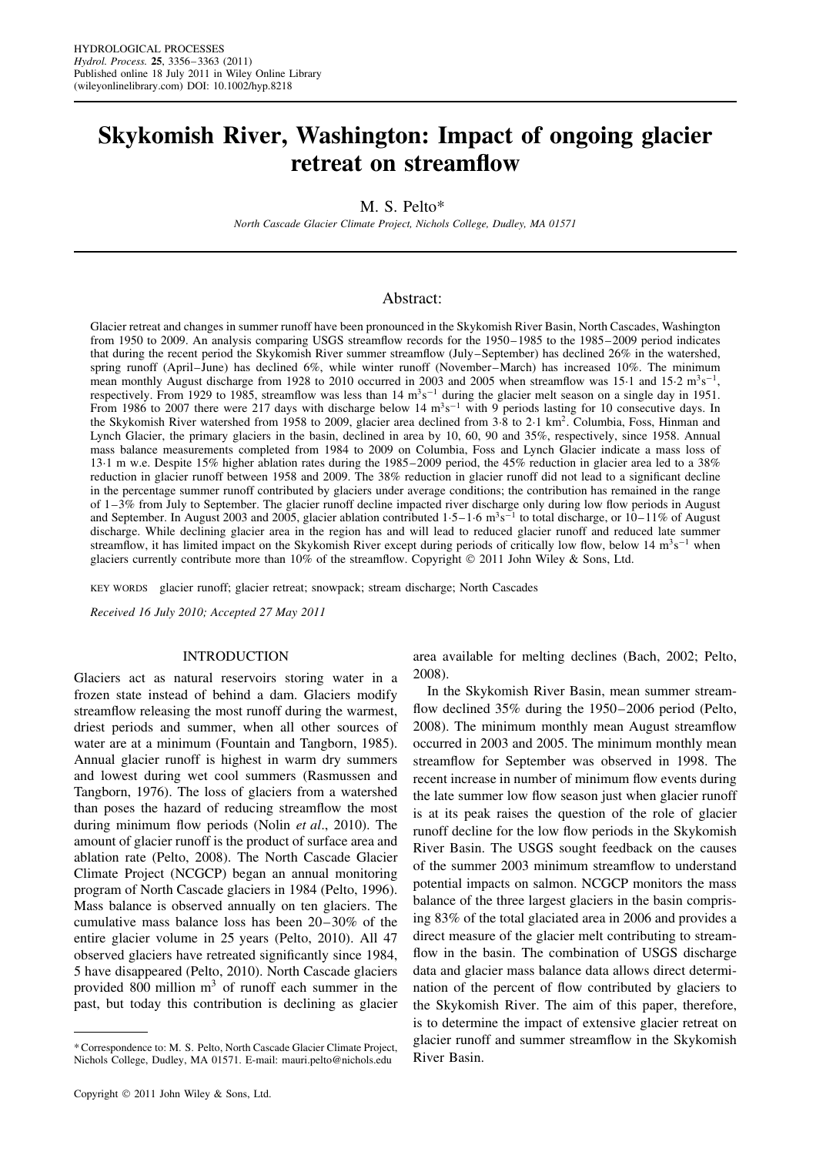# **Skykomish River, Washington: Impact of ongoing glacier retreat on streamflow**

M. S. Pelto\*

*North Cascade Glacier Climate Project, Nichols College, Dudley, MA 01571*

# Abstract:

Glacier retreat and changes in summer runoff have been pronounced in the Skykomish River Basin, North Cascades, Washington from 1950 to 2009. An analysis comparing USGS streamflow records for the 1950–1985 to the 1985–2009 period indicates that during the recent period the Skykomish River summer streamflow (July–September) has declined 26% in the watershed, spring runoff (April–June) has declined 6%, while winter runoff (November–March) has increased 10%. The minimum mean monthly August discharge from 1928 to 2010 occurred in 2003 and 2005 when streamflow was 15 $\cdot$ 1 and 15 $\cdot$ 2 m<sup>3</sup>s<sup>-1</sup>, respectively. From 1929 to 1985, streamflow was less than  $14 \text{ m}^3\text{s}^{-1}$  during the glacier melt season on a single day in 1951. From 1986 to 2007 there were 217 days with discharge below 14 m<sup>3</sup>s<sup>-1</sup> with 9 periods lasting for 10 consecutive days. In the Skykomish River watershed from 1958 to 2009, glacier area declined from 3 $\cdot$ 8 to 2 $\cdot$ 1 km<sup>2</sup>. Columbia, Foss, Hinman and Lynch Glacier, the primary glaciers in the basin, declined in area by 10, 60, 90 and 35%, respectively, since 1958. Annual mass balance measurements completed from 1984 to 2009 on Columbia, Foss and Lynch Glacier indicate a mass loss of 13Ð1 m w.e. Despite 15% higher ablation rates during the 1985–2009 period, the 45% reduction in glacier area led to a 38% reduction in glacier runoff between 1958 and 2009. The 38% reduction in glacier runoff did not lead to a significant decline in the percentage summer runoff contributed by glaciers under average conditions; the contribution has remained in the range of  $1-3\%$  from July to September. The glacier runoff decline impacted river discharge only during low flow periods in August and September. In August 2003 and 2005, glacier ablation contributed  $1.5-1.6$  m<sup>3</sup>s<sup>-1</sup> to total discharge, or  $10-11\%$  of August discharge. While declining glacier area in the region has and will lead to reduced glacier runoff and reduced late summer streamflow, it has limited impact on the Skykomish River except during periods of critically low flow, below 14  $m<sup>3</sup>s<sup>-1</sup>$  when glaciers currently contribute more than  $10\%$  of the streamflow. Copyright  $\odot$  2011 John Wiley & Sons, Ltd.

KEY WORDS glacier runoff; glacier retreat; snowpack; stream discharge; North Cascades

*Received 16 July 2010; Accepted 27 May 2011*

#### INTRODUCTION

Glaciers act as natural reservoirs storing water in a frozen state instead of behind a dam. Glaciers modify streamflow releasing the most runoff during the warmest, driest periods and summer, when all other sources of water are at a minimum (Fountain and Tangborn, 1985). Annual glacier runoff is highest in warm dry summers and lowest during wet cool summers (Rasmussen and Tangborn, 1976). The loss of glaciers from a watershed than poses the hazard of reducing streamflow the most during minimum flow periods (Nolin *et al*., 2010). The amount of glacier runoff is the product of surface area and ablation rate (Pelto, 2008). The North Cascade Glacier Climate Project (NCGCP) began an annual monitoring program of North Cascade glaciers in 1984 (Pelto, 1996). Mass balance is observed annually on ten glaciers. The cumulative mass balance loss has been 20–30% of the entire glacier volume in 25 years (Pelto, 2010). All 47 observed glaciers have retreated significantly since 1984, 5 have disappeared (Pelto, 2010). North Cascade glaciers provided 800 million  $m<sup>3</sup>$  of runoff each summer in the past, but today this contribution is declining as glacier area available for melting declines (Bach, 2002; Pelto, 2008).

In the Skykomish River Basin, mean summer streamflow declined 35% during the 1950–2006 period (Pelto, 2008). The minimum monthly mean August streamflow occurred in 2003 and 2005. The minimum monthly mean streamflow for September was observed in 1998. The recent increase in number of minimum flow events during the late summer low flow season just when glacier runoff is at its peak raises the question of the role of glacier runoff decline for the low flow periods in the Skykomish River Basin. The USGS sought feedback on the causes of the summer 2003 minimum streamflow to understand potential impacts on salmon. NCGCP monitors the mass balance of the three largest glaciers in the basin comprising 83% of the total glaciated area in 2006 and provides a direct measure of the glacier melt contributing to streamflow in the basin. The combination of USGS discharge data and glacier mass balance data allows direct determination of the percent of flow contributed by glaciers to the Skykomish River. The aim of this paper, therefore, is to determine the impact of extensive glacier retreat on glacier runoff and summer streamflow in the Skykomish River Basin.

<sup>\*</sup> Correspondence to: M. S. Pelto, North Cascade Glacier Climate Project, Nichols College, Dudley, MA 01571. E-mail: mauri.pelto@nichols.edu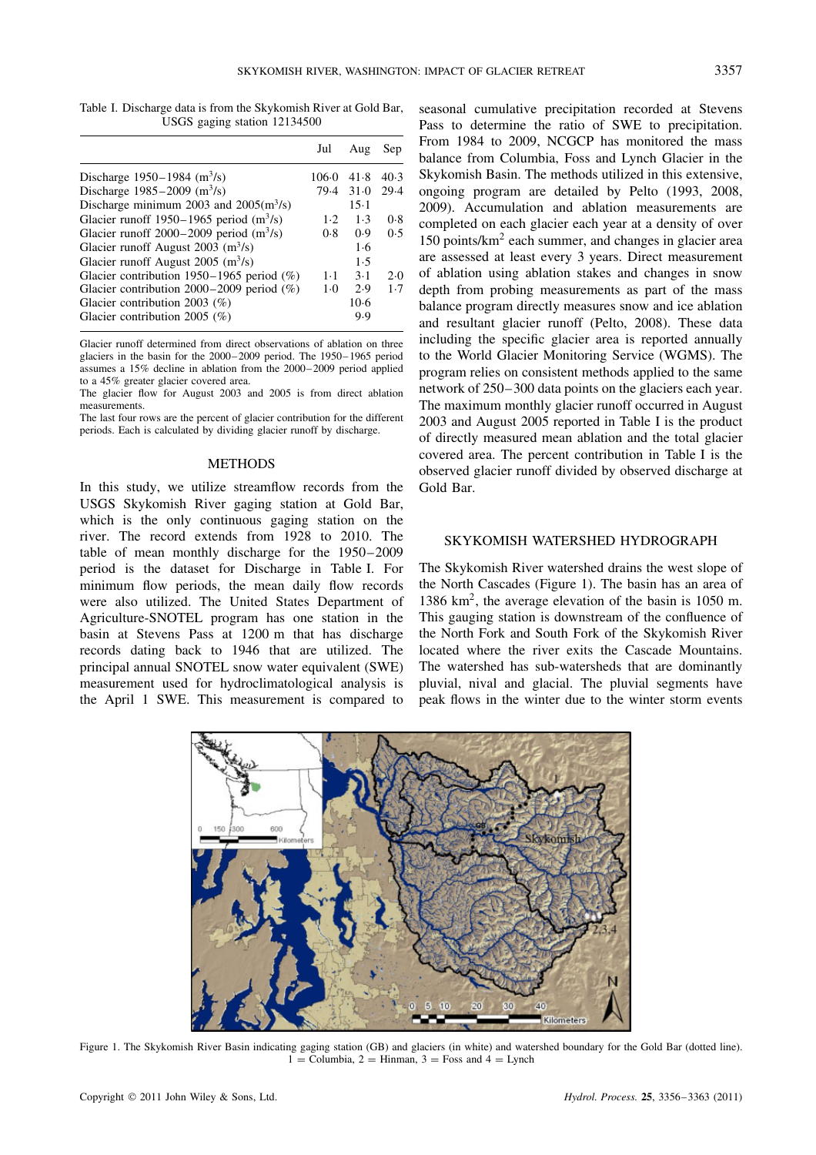Table I. Discharge data is from the Skykomish River at Gold Bar, USGS gaging station 12134500

|                                                       | Jul   | Aug    | Sep  |
|-------------------------------------------------------|-------|--------|------|
| Discharge 1950–1984 $(m^3/s)$                         | 106.0 | 41.8   | 40.3 |
| Discharge $1985 - 2009$ (m <sup>3</sup> /s)           | 79.4  | $31-0$ | 29.4 |
| Discharge minimum 2003 and $2005(m^3/s)$              |       | $15-1$ |      |
| Glacier runoff 1950–1965 period $(m^3/s)$             | $1-2$ | 1.3    | 0.8  |
| Glacier runoff $2000-2009$ period (m <sup>3</sup> /s) | 0.8   | (0.9)  | 0.5  |
| Glacier runoff August 2003 $(m^3/s)$                  |       | 1.6    |      |
| Glacier runoff August 2005 $(m^3/s)$                  |       | 1.5    |      |
| Glacier contribution 1950-1965 period (%)             | 1.1   | $3-1$  | 2.0  |
| Glacier contribution $2000-2009$ period (%)           | $1-0$ | 2.9    | 1.7  |
| Glacier contribution 2003 $(\%)$                      |       | $10-6$ |      |
| Glacier contribution 2005 $(\%)$                      |       | 9.9    |      |
|                                                       |       |        |      |

Glacier runoff determined from direct observations of ablation on three glaciers in the basin for the 2000–2009 period. The 1950–1965 period assumes a 15% decline in ablation from the 2000–2009 period applied to a 45% greater glacier covered area.

The glacier flow for August 2003 and 2005 is from direct ablation measurements.

The last four rows are the percent of glacier contribution for the different periods. Each is calculated by dividing glacier runoff by discharge.

#### METHODS

In this study, we utilize streamflow records from the USGS Skykomish River gaging station at Gold Bar, which is the only continuous gaging station on the river. The record extends from 1928 to 2010. The table of mean monthly discharge for the 1950–2009 period is the dataset for Discharge in Table I. For minimum flow periods, the mean daily flow records were also utilized. The United States Department of Agriculture-SNOTEL program has one station in the basin at Stevens Pass at 1200 m that has discharge records dating back to 1946 that are utilized. The principal annual SNOTEL snow water equivalent (SWE) measurement used for hydroclimatological analysis is the April 1 SWE. This measurement is compared to

seasonal cumulative precipitation recorded at Stevens Pass to determine the ratio of SWE to precipitation. From 1984 to 2009, NCGCP has monitored the mass balance from Columbia, Foss and Lynch Glacier in the Skykomish Basin. The methods utilized in this extensive, ongoing program are detailed by Pelto (1993, 2008, 2009). Accumulation and ablation measurements are completed on each glacier each year at a density of over 150 points/km2 each summer, and changes in glacier area are assessed at least every 3 years. Direct measurement of ablation using ablation stakes and changes in snow depth from probing measurements as part of the mass balance program directly measures snow and ice ablation and resultant glacier runoff (Pelto, 2008). These data including the specific glacier area is reported annually to the World Glacier Monitoring Service (WGMS). The program relies on consistent methods applied to the same network of 250–300 data points on the glaciers each year. The maximum monthly glacier runoff occurred in August 2003 and August 2005 reported in Table I is the product of directly measured mean ablation and the total glacier covered area. The percent contribution in Table I is the observed glacier runoff divided by observed discharge at Gold Bar.

## SKYKOMISH WATERSHED HYDROGRAPH

The Skykomish River watershed drains the west slope of the North Cascades (Figure 1). The basin has an area of 1386 km2, the average elevation of the basin is 1050 m. This gauging station is downstream of the confluence of the North Fork and South Fork of the Skykomish River located where the river exits the Cascade Mountains. The watershed has sub-watersheds that are dominantly pluvial, nival and glacial. The pluvial segments have peak flows in the winter due to the winter storm events



Figure 1. The Skykomish River Basin indicating gaging station (GB) and glaciers (in white) and watershed boundary for the Gold Bar (dotted line).  $1 =$  Columbia,  $2 =$  Hinman,  $3 =$  Foss and  $4 =$  Lynch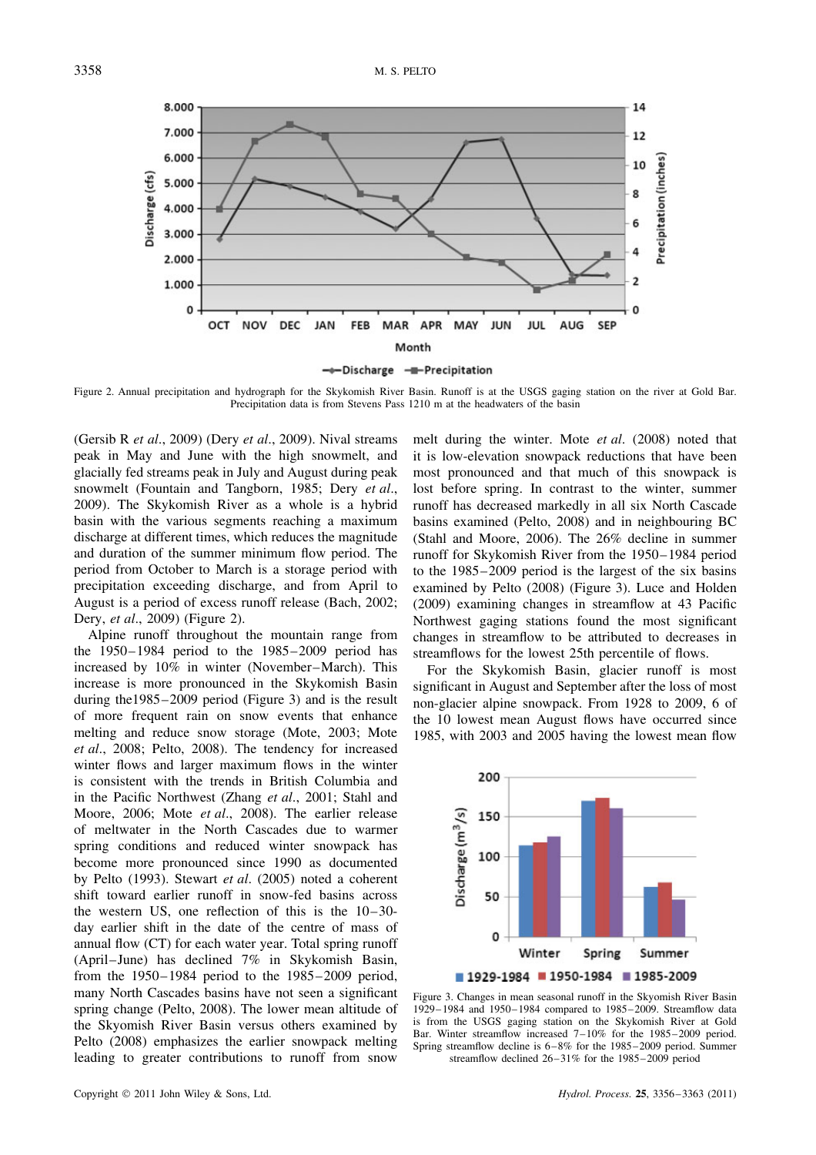

Figure 2. Annual precipitation and hydrograph for the Skykomish River Basin. Runoff is at the USGS gaging station on the river at Gold Bar. Precipitation data is from Stevens Pass 1210 m at the headwaters of the basin

(Gersib R *et al*., 2009) (Dery *et al*., 2009). Nival streams peak in May and June with the high snowmelt, and glacially fed streams peak in July and August during peak snowmelt (Fountain and Tangborn, 1985; Dery *et al*., 2009). The Skykomish River as a whole is a hybrid basin with the various segments reaching a maximum discharge at different times, which reduces the magnitude and duration of the summer minimum flow period. The period from October to March is a storage period with precipitation exceeding discharge, and from April to August is a period of excess runoff release (Bach, 2002; Dery, *et al*., 2009) (Figure 2).

Alpine runoff throughout the mountain range from the 1950–1984 period to the 1985–2009 period has increased by 10% in winter (November–March). This increase is more pronounced in the Skykomish Basin during the1985–2009 period (Figure 3) and is the result of more frequent rain on snow events that enhance melting and reduce snow storage (Mote, 2003; Mote *et al*., 2008; Pelto, 2008). The tendency for increased winter flows and larger maximum flows in the winter is consistent with the trends in British Columbia and in the Pacific Northwest (Zhang *et al*., 2001; Stahl and Moore, 2006; Mote *et al*., 2008). The earlier release of meltwater in the North Cascades due to warmer spring conditions and reduced winter snowpack has become more pronounced since 1990 as documented by Pelto (1993). Stewart *et al*. (2005) noted a coherent shift toward earlier runoff in snow-fed basins across the western US, one reflection of this is the 10–30 day earlier shift in the date of the centre of mass of annual flow (CT) for each water year. Total spring runoff (April–June) has declined 7% in Skykomish Basin, from the 1950–1984 period to the 1985–2009 period, many North Cascades basins have not seen a significant spring change (Pelto, 2008). The lower mean altitude of the Skyomish River Basin versus others examined by Pelto (2008) emphasizes the earlier snowpack melting leading to greater contributions to runoff from snow

melt during the winter. Mote *et al*. (2008) noted that it is low-elevation snowpack reductions that have been most pronounced and that much of this snowpack is lost before spring. In contrast to the winter, summer runoff has decreased markedly in all six North Cascade basins examined (Pelto, 2008) and in neighbouring BC (Stahl and Moore, 2006). The 26% decline in summer runoff for Skykomish River from the 1950–1984 period to the 1985–2009 period is the largest of the six basins examined by Pelto (2008) (Figure 3). Luce and Holden (2009) examining changes in streamflow at 43 Pacific Northwest gaging stations found the most significant changes in streamflow to be attributed to decreases in streamflows for the lowest 25th percentile of flows.

For the Skykomish Basin, glacier runoff is most significant in August and September after the loss of most non-glacier alpine snowpack. From 1928 to 2009, 6 of the 10 lowest mean August flows have occurred since 1985, with 2003 and 2005 having the lowest mean flow



Figure 3. Changes in mean seasonal runoff in the Skyomish River Basin 1929–1984 and 1950–1984 compared to 1985–2009. Streamflow data is from the USGS gaging station on the Skykomish River at Gold Bar. Winter streamflow increased 7–10% for the 1985–2009 period. Spring streamflow decline is 6–8% for the 1985–2009 period. Summer streamflow declined 26–31% for the 1985–2009 period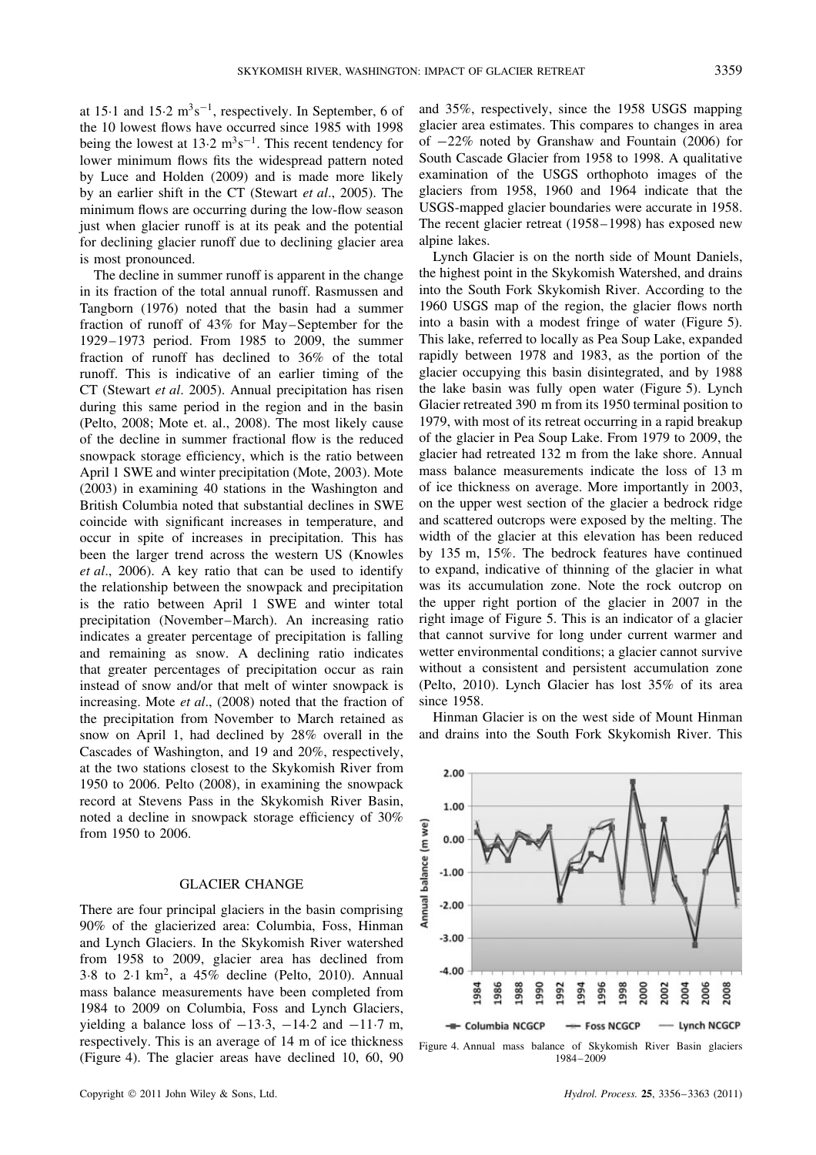at 15 $\cdot$ 1 and 15 $\cdot$ 2 m<sup>3</sup>s<sup>-1</sup>, respectively. In September, 6 of the 10 lowest flows have occurred since 1985 with 1998 being the lowest at  $13.2 \text{ m}^3\text{s}^{-1}$ . This recent tendency for lower minimum flows fits the widespread pattern noted by Luce and Holden (2009) and is made more likely by an earlier shift in the CT (Stewart *et al*., 2005). The minimum flows are occurring during the low-flow season just when glacier runoff is at its peak and the potential for declining glacier runoff due to declining glacier area is most pronounced.

The decline in summer runoff is apparent in the change in its fraction of the total annual runoff. Rasmussen and Tangborn (1976) noted that the basin had a summer fraction of runoff of 43% for May–September for the 1929–1973 period. From 1985 to 2009, the summer fraction of runoff has declined to 36% of the total runoff. This is indicative of an earlier timing of the CT (Stewart *et al*. 2005). Annual precipitation has risen during this same period in the region and in the basin (Pelto, 2008; Mote et. al., 2008). The most likely cause of the decline in summer fractional flow is the reduced snowpack storage efficiency, which is the ratio between April 1 SWE and winter precipitation (Mote, 2003). Mote (2003) in examining 40 stations in the Washington and British Columbia noted that substantial declines in SWE coincide with significant increases in temperature, and occur in spite of increases in precipitation. This has been the larger trend across the western US (Knowles *et al*., 2006). A key ratio that can be used to identify the relationship between the snowpack and precipitation is the ratio between April 1 SWE and winter total precipitation (November–March). An increasing ratio indicates a greater percentage of precipitation is falling and remaining as snow. A declining ratio indicates that greater percentages of precipitation occur as rain instead of snow and/or that melt of winter snowpack is increasing. Mote *et al*., (2008) noted that the fraction of the precipitation from November to March retained as snow on April 1, had declined by 28% overall in the Cascades of Washington, and 19 and 20%, respectively, at the two stations closest to the Skykomish River from 1950 to 2006. Pelto (2008), in examining the snowpack record at Stevens Pass in the Skykomish River Basin, noted a decline in snowpack storage efficiency of 30% from 1950 to 2006.

### GLACIER CHANGE

There are four principal glaciers in the basin comprising 90% of the glacierized area: Columbia, Foss, Hinman and Lynch Glaciers. In the Skykomish River watershed from 1958 to 2009, glacier area has declined from 3 $\cdot$ 8 to 2 $\cdot$ 1 km<sup>2</sup>, a 45% decline (Pelto, 2010). Annual mass balance measurements have been completed from 1984 to 2009 on Columbia, Foss and Lynch Glaciers, yielding a balance loss of  $-13.3$ ,  $-14.2$  and  $-11.7$  m, respectively. This is an average of 14 m of ice thickness (Figure 4). The glacier areas have declined 10, 60, 90

and 35%, respectively, since the 1958 USGS mapping glacier area estimates. This compares to changes in area of  $-22\%$  noted by Granshaw and Fountain (2006) for South Cascade Glacier from 1958 to 1998. A qualitative examination of the USGS orthophoto images of the glaciers from 1958, 1960 and 1964 indicate that the USGS-mapped glacier boundaries were accurate in 1958. The recent glacier retreat (1958–1998) has exposed new alpine lakes.

Lynch Glacier is on the north side of Mount Daniels, the highest point in the Skykomish Watershed, and drains into the South Fork Skykomish River. According to the 1960 USGS map of the region, the glacier flows north into a basin with a modest fringe of water (Figure 5). This lake, referred to locally as Pea Soup Lake, expanded rapidly between 1978 and 1983, as the portion of the glacier occupying this basin disintegrated, and by 1988 the lake basin was fully open water (Figure 5). Lynch Glacier retreated 390 m from its 1950 terminal position to 1979, with most of its retreat occurring in a rapid breakup of the glacier in Pea Soup Lake. From 1979 to 2009, the glacier had retreated 132 m from the lake shore. Annual mass balance measurements indicate the loss of 13 m of ice thickness on average. More importantly in 2003, on the upper west section of the glacier a bedrock ridge and scattered outcrops were exposed by the melting. The width of the glacier at this elevation has been reduced by 135 m, 15%. The bedrock features have continued to expand, indicative of thinning of the glacier in what was its accumulation zone. Note the rock outcrop on the upper right portion of the glacier in 2007 in the right image of Figure 5. This is an indicator of a glacier that cannot survive for long under current warmer and wetter environmental conditions; a glacier cannot survive without a consistent and persistent accumulation zone (Pelto, 2010). Lynch Glacier has lost 35% of its area since 1958.

Hinman Glacier is on the west side of Mount Hinman and drains into the South Fork Skykomish River. This



Figure 4. Annual mass balance of Skykomish River Basin glaciers 1984–2009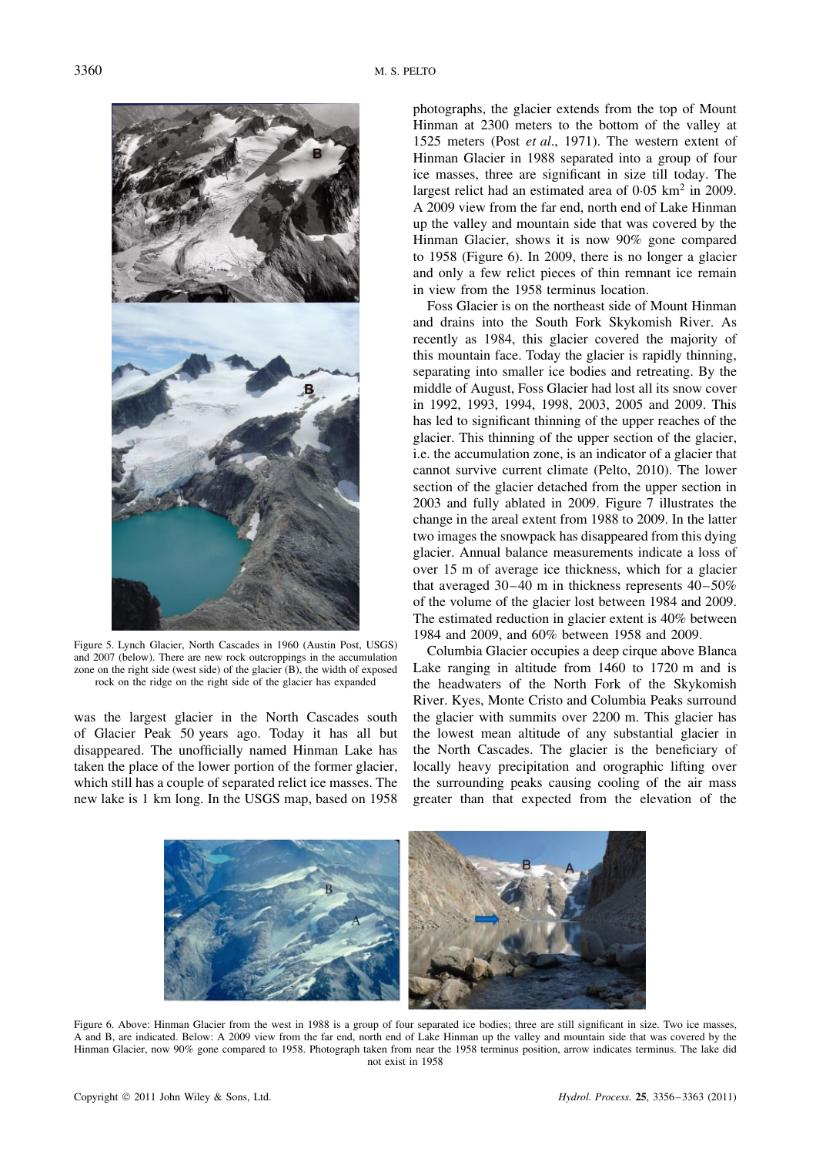

Figure 5. Lynch Glacier, North Cascades in 1960 (Austin Post, USGS) and 2007 (below). There are new rock outcroppings in the accumulation zone on the right side (west side) of the glacier (B), the width of exposed rock on the ridge on the right side of the glacier has expanded

was the largest glacier in the North Cascades south of Glacier Peak 50 years ago. Today it has all but disappeared. The unofficially named Hinman Lake has taken the place of the lower portion of the former glacier, which still has a couple of separated relict ice masses. The new lake is 1 km long. In the USGS map, based on 1958

photographs, the glacier extends from the top of Mount Hinman at 2300 meters to the bottom of the valley at 1525 meters (Post *et al*., 1971). The western extent of Hinman Glacier in 1988 separated into a group of four ice masses, three are significant in size till today. The largest relict had an estimated area of  $0.05 \text{ km}^2$  in 2009. A 2009 view from the far end, north end of Lake Hinman up the valley and mountain side that was covered by the Hinman Glacier, shows it is now 90% gone compared to 1958 (Figure 6). In 2009, there is no longer a glacier and only a few relict pieces of thin remnant ice remain in view from the 1958 terminus location.

Foss Glacier is on the northeast side of Mount Hinman and drains into the South Fork Skykomish River. As recently as 1984, this glacier covered the majority of this mountain face. Today the glacier is rapidly thinning, separating into smaller ice bodies and retreating. By the middle of August, Foss Glacier had lost all its snow cover in 1992, 1993, 1994, 1998, 2003, 2005 and 2009. This has led to significant thinning of the upper reaches of the glacier. This thinning of the upper section of the glacier, i.e. the accumulation zone, is an indicator of a glacier that cannot survive current climate (Pelto, 2010). The lower section of the glacier detached from the upper section in 2003 and fully ablated in 2009. Figure 7 illustrates the change in the areal extent from 1988 to 2009. In the latter two images the snowpack has disappeared from this dying glacier. Annual balance measurements indicate a loss of over 15 m of average ice thickness, which for a glacier that averaged 30–40 m in thickness represents 40–50% of the volume of the glacier lost between 1984 and 2009. The estimated reduction in glacier extent is 40% between 1984 and 2009, and 60% between 1958 and 2009.

Columbia Glacier occupies a deep cirque above Blanca Lake ranging in altitude from 1460 to 1720 m and is the headwaters of the North Fork of the Skykomish River. Kyes, Monte Cristo and Columbia Peaks surround the glacier with summits over 2200 m. This glacier has the lowest mean altitude of any substantial glacier in the North Cascades. The glacier is the beneficiary of locally heavy precipitation and orographic lifting over the surrounding peaks causing cooling of the air mass greater than that expected from the elevation of the



Figure 6. Above: Hinman Glacier from the west in 1988 is a group of four separated ice bodies; three are still significant in size. Two ice masses, A and B, are indicated. Below: A 2009 view from the far end, north end of Lake Hinman up the valley and mountain side that was covered by the Hinman Glacier, now 90% gone compared to 1958. Photograph taken from near the 1958 terminus position, arrow indicates terminus. The lake did not exist in 1958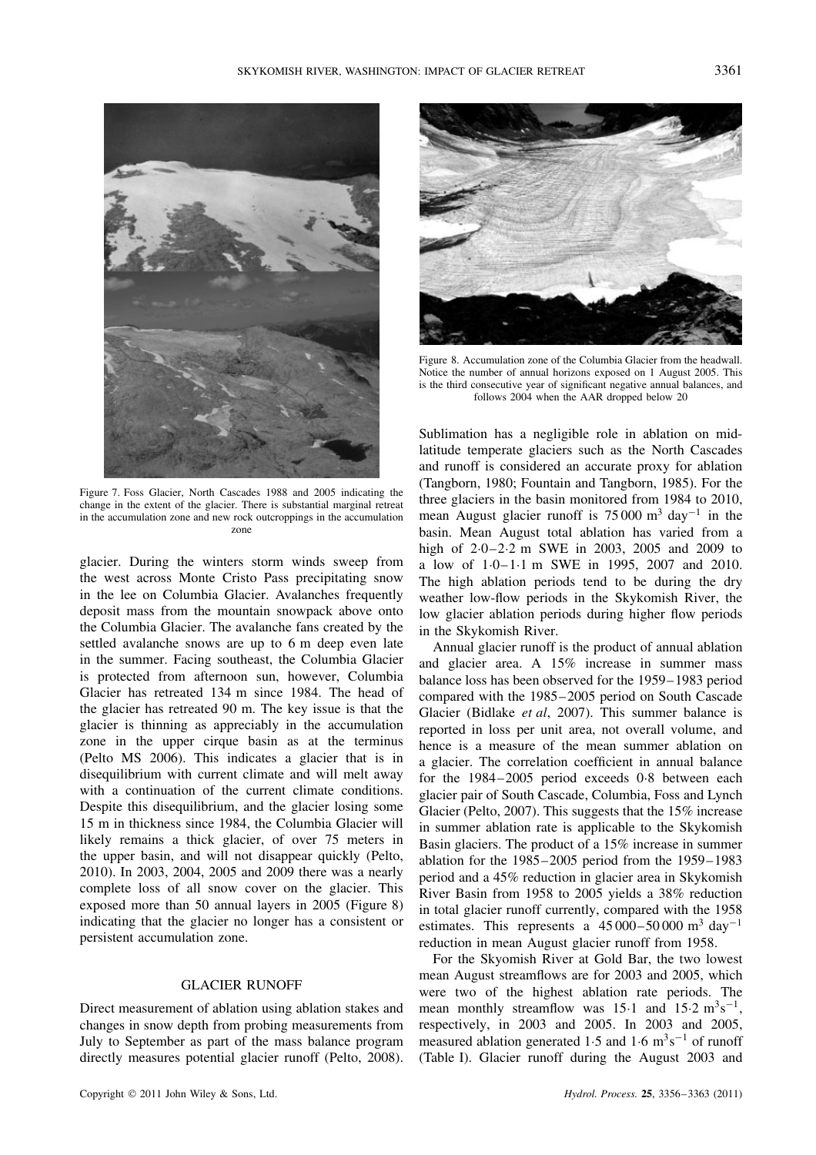

Figure 7. Foss Glacier, North Cascades 1988 and 2005 indicating the change in the extent of the glacier. There is substantial marginal retreat in the accumulation zone and new rock outcroppings in the accumulation zone

glacier. During the winters storm winds sweep from the west across Monte Cristo Pass precipitating snow in the lee on Columbia Glacier. Avalanches frequently deposit mass from the mountain snowpack above onto the Columbia Glacier. The avalanche fans created by the settled avalanche snows are up to 6 m deep even late in the summer. Facing southeast, the Columbia Glacier is protected from afternoon sun, however, Columbia Glacier has retreated 134 m since 1984. The head of the glacier has retreated 90 m. The key issue is that the glacier is thinning as appreciably in the accumulation zone in the upper cirque basin as at the terminus (Pelto MS 2006). This indicates a glacier that is in disequilibrium with current climate and will melt away with a continuation of the current climate conditions. Despite this disequilibrium, and the glacier losing some 15 m in thickness since 1984, the Columbia Glacier will likely remains a thick glacier, of over 75 meters in the upper basin, and will not disappear quickly (Pelto, 2010). In 2003, 2004, 2005 and 2009 there was a nearly complete loss of all snow cover on the glacier. This exposed more than 50 annual layers in 2005 (Figure 8) indicating that the glacier no longer has a consistent or persistent accumulation zone.

# GLACIER RUNOFF

Direct measurement of ablation using ablation stakes and changes in snow depth from probing measurements from July to September as part of the mass balance program directly measures potential glacier runoff (Pelto, 2008).



Figure 8. Accumulation zone of the Columbia Glacier from the headwall. Notice the number of annual horizons exposed on 1 August 2005. This is the third consecutive year of significant negative annual balances, and follows 2004 when the AAR dropped below 20

Sublimation has a negligible role in ablation on midlatitude temperate glaciers such as the North Cascades and runoff is considered an accurate proxy for ablation (Tangborn, 1980; Fountain and Tangborn, 1985). For the three glaciers in the basin monitored from 1984 to 2010, mean August glacier runoff is  $75000 \text{ m}^3 \text{ day}^{-1}$  in the basin. Mean August total ablation has varied from a high of  $2.0 - 2.2$  m SWE in 2003, 2005 and 2009 to a low of  $1.0-1.1$  m SWE in 1995, 2007 and 2010. The high ablation periods tend to be during the dry weather low-flow periods in the Skykomish River, the low glacier ablation periods during higher flow periods in the Skykomish River.

Annual glacier runoff is the product of annual ablation and glacier area. A 15% increase in summer mass balance loss has been observed for the 1959–1983 period compared with the 1985–2005 period on South Cascade Glacier (Bidlake *et al*, 2007). This summer balance is reported in loss per unit area, not overall volume, and hence is a measure of the mean summer ablation on a glacier. The correlation coefficient in annual balance for the 1984–2005 period exceeds 0.8 between each glacier pair of South Cascade, Columbia, Foss and Lynch Glacier (Pelto, 2007). This suggests that the 15% increase in summer ablation rate is applicable to the Skykomish Basin glaciers. The product of a 15% increase in summer ablation for the 1985–2005 period from the 1959–1983 period and a 45% reduction in glacier area in Skykomish River Basin from 1958 to 2005 yields a 38% reduction in total glacier runoff currently, compared with the 1958 estimates. This represents a  $45\,000-50\,000$  m<sup>3</sup> day<sup>-1</sup> reduction in mean August glacier runoff from 1958.

For the Skyomish River at Gold Bar, the two lowest mean August streamflows are for 2003 and 2005, which were two of the highest ablation rate periods. The mean monthly streamflow was 15 $\cdot$ 1 and 15 $\cdot$ 2 m<sup>3</sup>s<sup>-1</sup>, respectively, in 2003 and 2005. In 2003 and 2005, measured ablation generated 1.5 and 1.6  $\text{m}^3\text{s}^{-1}$  of runoff (Table I). Glacier runoff during the August 2003 and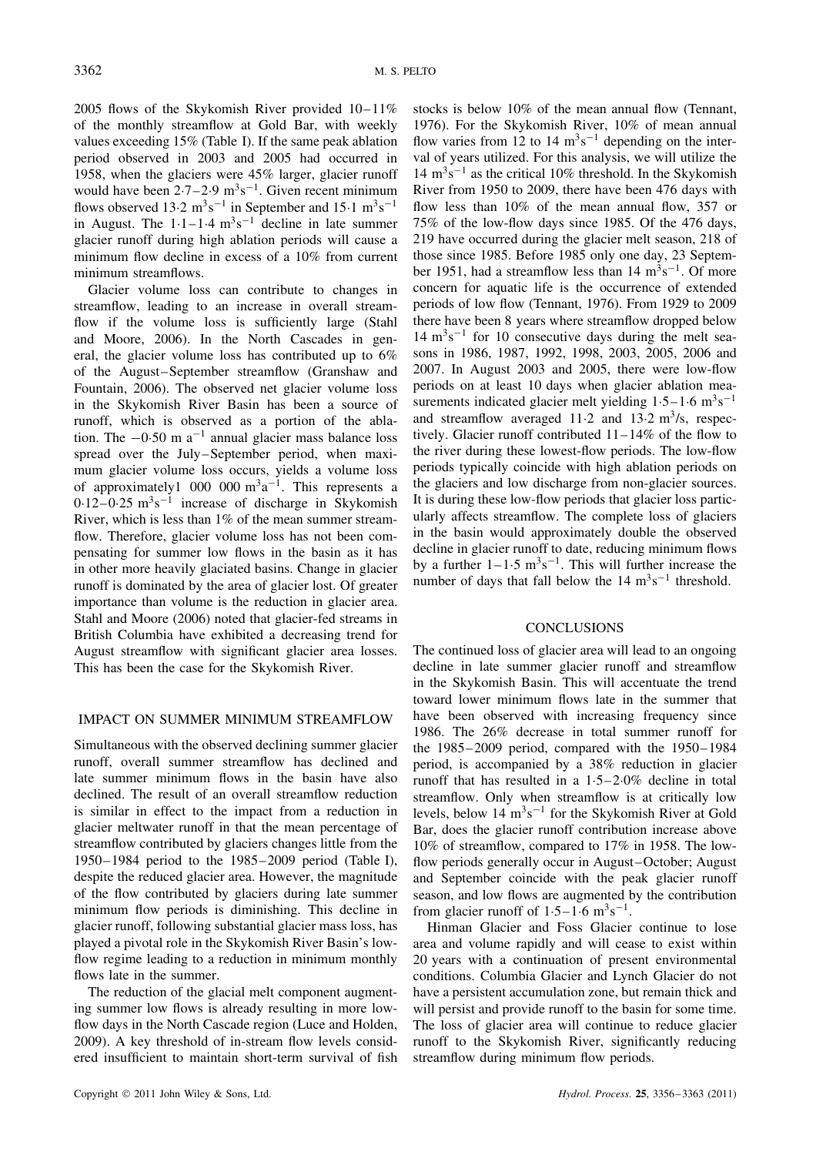2005 flows of the Skykomish River provided 10–11% of the monthly streamflow at Gold Bar, with weekly values exceeding 15% (Table I). If the same peak ablation period observed in 2003 and 2005 had occurred in 1958, when the glaciers were 45% larger, glacier runoff would have been  $2.7-2.9 \text{ m}^3 \text{s}^{-1}$ . Given recent minimum flows observed 13 $\cdot$ 2 m<sup>3</sup>s<sup>-1</sup> in September and 15 $\cdot$ 1 m<sup>3</sup>s<sup>-1</sup> in August. The  $1 \cdot 1 - 1 \cdot 4$  m<sup>3</sup>s<sup>-1</sup> decline in late summer glacier runoff during high ablation periods will cause a minimum flow decline in excess of a 10% from current minimum streamflows.

Glacier volume loss can contribute to changes in streamflow, leading to an increase in overall streamflow if the volume loss is sufficiently large (Stahl and Moore, 2006). In the North Cascades in general, the glacier volume loss has contributed up to 6% of the August–September streamflow (Granshaw and Fountain, 2006). The observed net glacier volume loss in the Skykomish River Basin has been a source of runoff, which is observed as a portion of the ablation. The  $-0.50$  m a<sup>-1</sup> annual glacier mass balance loss spread over the July–September period, when maximum glacier volume loss occurs, yields a volume loss of approximately1 000 000  $m^3a^{-1}$ . This represents a  $0.12-0.25$  m<sup>3</sup>s<sup>-1</sup> increase of discharge in Skykomish River, which is less than 1% of the mean summer streamflow. Therefore, glacier volume loss has not been compensating for summer low flows in the basin as it has in other more heavily glaciated basins. Change in glacier runoff is dominated by the area of glacier lost. Of greater importance than volume is the reduction in glacier area. Stahl and Moore (2006) noted that glacier-fed streams in British Columbia have exhibited a decreasing trend for August streamflow with significant glacier area losses. This has been the case for the Skykomish River.

#### IMPACT ON SUMMER MINIMUM STREAMFLOW

Simultaneous with the observed declining summer glacier runoff, overall summer streamflow has declined and late summer minimum flows in the basin have also declined. The result of an overall streamflow reduction is similar in effect to the impact from a reduction in glacier meltwater runoff in that the mean percentage of streamflow contributed by glaciers changes little from the 1950–1984 period to the 1985–2009 period (Table I), despite the reduced glacier area. However, the magnitude of the flow contributed by glaciers during late summer minimum flow periods is diminishing. This decline in glacier runoff, following substantial glacier mass loss, has played a pivotal role in the Skykomish River Basin's lowflow regime leading to a reduction in minimum monthly flows late in the summer.

The reduction of the glacial melt component augmenting summer low flows is already resulting in more lowflow days in the North Cascade region (Luce and Holden, 2009). A key threshold of in-stream flow levels considered insufficient to maintain short-term survival of fish stocks is below 10% of the mean annual flow (Tennant, 1976). For the Skykomish River, 10% of mean annual flow varies from 12 to 14  $m^3s^{-1}$  depending on the interval of years utilized. For this analysis, we will utilize the  $14 \text{ m}^3\text{s}^{-1}$  as the critical 10% threshold. In the Skykomish River from 1950 to 2009, there have been 476 days with flow less than 10% of the mean annual flow, 357 or 75% of the low-flow days since 1985. Of the 476 days, 219 have occurred during the glacier melt season, 218 of those since 1985. Before 1985 only one day, 23 September 1951, had a streamflow less than  $14 \text{ m}^3\text{s}^{-1}$ . Of more concern for aquatic life is the occurrence of extended periods of low flow (Tennant, 1976). From 1929 to 2009 there have been 8 years where streamflow dropped below  $14 \text{ m}^3 \text{s}^{-1}$  for 10 consecutive days during the melt seasons in 1986, 1987, 1992, 1998, 2003, 2005, 2006 and 2007. In August 2003 and 2005, there were low-flow periods on at least 10 days when glacier ablation measurements indicated glacier melt yielding  $1.5-1.6 \text{ m}^3\text{s}^{-1}$ and streamflow averaged 11 $\cdot$ 2 and 13 $\cdot$ 2 m<sup>3</sup>/s, respectively. Glacier runoff contributed 11–14% of the flow to the river during these lowest-flow periods. The low-flow periods typically coincide with high ablation periods on the glaciers and low discharge from non-glacier sources. It is during these low-flow periods that glacier loss particularly affects streamflow. The complete loss of glaciers in the basin would approximately double the observed decline in glacier runoff to date, reducing minimum flows by a further  $1-1.5 \text{ m}^3 \text{s}^{-1}$ . This will further increase the number of days that fall below the  $14 \text{ m}^3\text{s}^{-1}$  threshold.

#### **CONCLUSIONS**

The continued loss of glacier area will lead to an ongoing decline in late summer glacier runoff and streamflow in the Skykomish Basin. This will accentuate the trend toward lower minimum flows late in the summer that have been observed with increasing frequency since 1986. The 26% decrease in total summer runoff for the 1985–2009 period, compared with the 1950–1984 period, is accompanied by a 38% reduction in glacier runoff that has resulted in a  $1.5-2.0\%$  decline in total streamflow. Only when streamflow is at critically low levels, below  $14 \text{ m}^3\text{s}^{-1}$  for the Skykomish River at Gold Bar, does the glacier runoff contribution increase above 10% of streamflow, compared to 17% in 1958. The lowflow periods generally occur in August–October; August and September coincide with the peak glacier runoff season, and low flows are augmented by the contribution from glacier runoff of  $1.5-1.6$  m<sup>3</sup>s<sup>-1</sup>.

Hinman Glacier and Foss Glacier continue to lose area and volume rapidly and will cease to exist within 20 years with a continuation of present environmental conditions. Columbia Glacier and Lynch Glacier do not have a persistent accumulation zone, but remain thick and will persist and provide runoff to the basin for some time. The loss of glacier area will continue to reduce glacier runoff to the Skykomish River, significantly reducing streamflow during minimum flow periods.